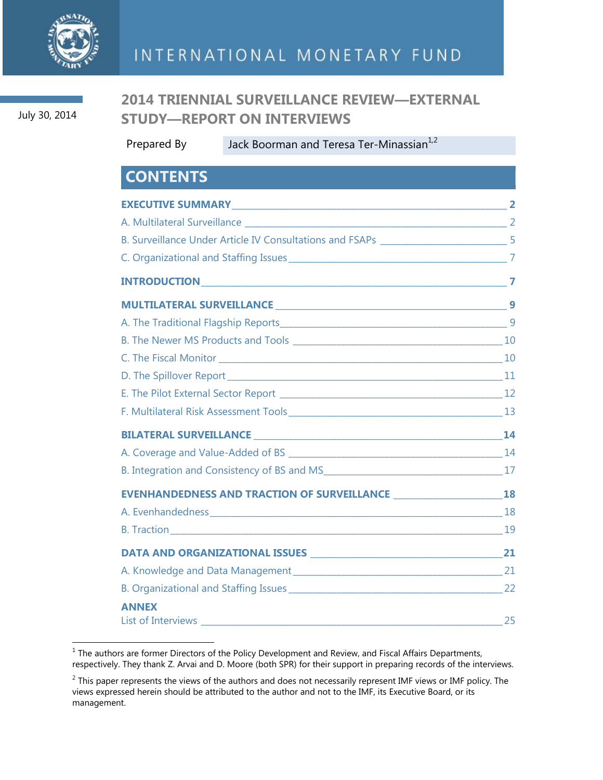

July 30, 2014

## **2014 TRIENNIAL SURVEILLANCE REVIEW—EXTERNAL STUDY—REPORT ON INTERVIEWS**

Prepared By Jack Boorman and Teresa Ter-Minassian<sup>1,2</sup>

## **CONTENTS**

| <b>ANNEX</b><br>List of Interviews 25 |  |
|---------------------------------------|--|

The authors are former Directors of the Policy Development and Review, and Fiscal Affairs Departments, <sup>1</sup><br><sup>1</sup> The authors are former Directors of the Policy Development and Review, and Fiscal Affairs Departments, respectively. They thank Z. Arvai and D. Moore (both SPR) for their support in preparing records of the interviews.

 $^2$  This paper represents the views of the authors and does not necessarily represent IMF views or IMF policy. The views expressed herein should be attributed to the author and not to the IMF, its Executive Board, or its management.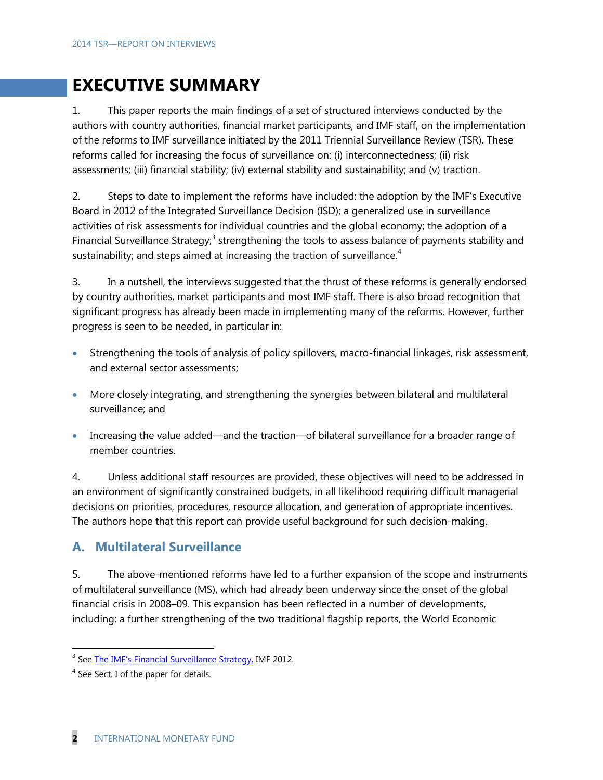# **EXECUTIVE SUMMARY**

1. This paper reports the main findings of a set of structured interviews conducted by the authors with country authorities, financial market participants, and IMF staff, on the implementation of the reforms to IMF surveillance initiated by the 2011 Triennial Surveillance Review (TSR). These reforms called for increasing the focus of surveillance on: (i) interconnectedness; (ii) risk assessments; (iii) financial stability; (iv) external stability and sustainability; and (v) traction.

2. Steps to date to implement the reforms have included: the adoption by the IMF's Executive Board in 2012 of the Integrated Surveillance Decision (ISD); a generalized use in surveillance activities of risk assessments for individual countries and the global economy; the adoption of a Financial Surveillance Strategy;<sup>3</sup> strengthening the tools to assess balance of payments stability and sustainability; and steps aimed at increasing the traction of surveillance.<sup>4</sup>

3. In a nutshell, the interviews suggested that the thrust of these reforms is generally endorsed by country authorities, market participants and most IMF staff. There is also broad recognition that significant progress has already been made in implementing many of the reforms. However, further progress is seen to be needed, in particular in:

- Strengthening the tools of analysis of policy spillovers, macro-financial linkages, risk assessment, and external sector assessments;
- More closely integrating, and strengthening the synergies between bilateral and multilateral surveillance; and
- Increasing the value added—and the traction—of bilateral surveillance for a broader range of member countries.

4. Unless additional staff resources are provided, these objectives will need to be addressed in an environment of significantly constrained budgets, in all likelihood requiring difficult managerial decisions on priorities, procedures, resource allocation, and generation of appropriate incentives. The authors hope that this report can provide useful background for such decision-making.

## **A. Multilateral Surveillance**

5. The above-mentioned reforms have led to a further expansion of the scope and instruments of multilateral surveillance (MS), which had already been underway since the onset of the global financial crisis in 2008–09. This expansion has been reflected in a number of developments, including: a further strengthening of the two traditional flagship reports, the World Economic

<sup>&</sup>lt;u>a</u><br><sup>3</sup> See <u>The IMF's Financial Surveillance Strategy</u>, IMF 2012.

 $<sup>4</sup>$  See Sect. I of the paper for details.</sup>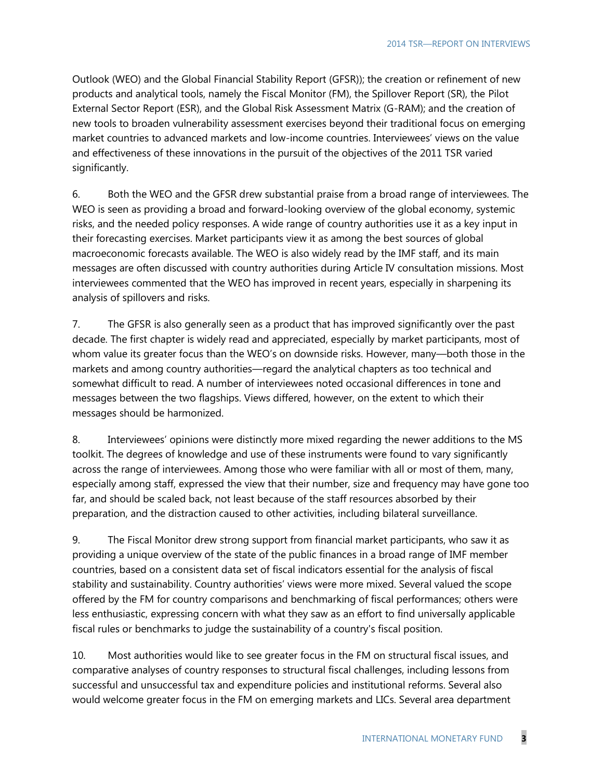Outlook (WEO) and the Global Financial Stability Report (GFSR)); the creation or refinement of new products and analytical tools, namely the Fiscal Monitor (FM), the Spillover Report (SR), the Pilot External Sector Report (ESR), and the Global Risk Assessment Matrix (G-RAM); and the creation of new tools to broaden vulnerability assessment exercises beyond their traditional focus on emerging market countries to advanced markets and low-income countries. Interviewees' views on the value and effectiveness of these innovations in the pursuit of the objectives of the 2011 TSR varied significantly.

6. Both the WEO and the GFSR drew substantial praise from a broad range of interviewees. The WEO is seen as providing a broad and forward-looking overview of the global economy, systemic risks, and the needed policy responses. A wide range of country authorities use it as a key input in their forecasting exercises. Market participants view it as among the best sources of global macroeconomic forecasts available. The WEO is also widely read by the IMF staff, and its main messages are often discussed with country authorities during Article IV consultation missions. Most interviewees commented that the WEO has improved in recent years, especially in sharpening its analysis of spillovers and risks.

7. The GFSR is also generally seen as a product that has improved significantly over the past decade. The first chapter is widely read and appreciated, especially by market participants, most of whom value its greater focus than the WEO's on downside risks. However, many—both those in the markets and among country authorities—regard the analytical chapters as too technical and somewhat difficult to read. A number of interviewees noted occasional differences in tone and messages between the two flagships. Views differed, however, on the extent to which their messages should be harmonized.

8. Interviewees' opinions were distinctly more mixed regarding the newer additions to the MS toolkit. The degrees of knowledge and use of these instruments were found to vary significantly across the range of interviewees. Among those who were familiar with all or most of them, many, especially among staff, expressed the view that their number, size and frequency may have gone too far, and should be scaled back, not least because of the staff resources absorbed by their preparation, and the distraction caused to other activities, including bilateral surveillance.

9. The Fiscal Monitor drew strong support from financial market participants, who saw it as providing a unique overview of the state of the public finances in a broad range of IMF member countries, based on a consistent data set of fiscal indicators essential for the analysis of fiscal stability and sustainability. Country authorities' views were more mixed. Several valued the scope offered by the FM for country comparisons and benchmarking of fiscal performances; others were less enthusiastic, expressing concern with what they saw as an effort to find universally applicable fiscal rules or benchmarks to judge the sustainability of a country's fiscal position.

10. Most authorities would like to see greater focus in the FM on structural fiscal issues, and comparative analyses of country responses to structural fiscal challenges, including lessons from successful and unsuccessful tax and expenditure policies and institutional reforms. Several also would welcome greater focus in the FM on emerging markets and LICs. Several area department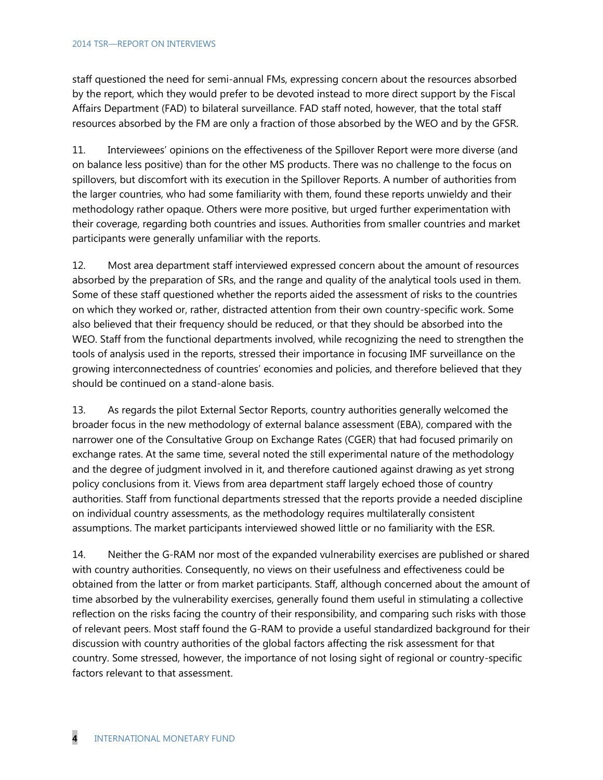staff questioned the need for semi-annual FMs, expressing concern about the resources absorbed by the report, which they would prefer to be devoted instead to more direct support by the Fiscal Affairs Department (FAD) to bilateral surveillance. FAD staff noted, however, that the total staff resources absorbed by the FM are only a fraction of those absorbed by the WEO and by the GFSR.

11. Interviewees' opinions on the effectiveness of the Spillover Report were more diverse (and on balance less positive) than for the other MS products. There was no challenge to the focus on spillovers, but discomfort with its execution in the Spillover Reports. A number of authorities from the larger countries, who had some familiarity with them, found these reports unwieldy and their methodology rather opaque. Others were more positive, but urged further experimentation with their coverage, regarding both countries and issues. Authorities from smaller countries and market participants were generally unfamiliar with the reports.

12. Most area department staff interviewed expressed concern about the amount of resources absorbed by the preparation of SRs, and the range and quality of the analytical tools used in them. Some of these staff questioned whether the reports aided the assessment of risks to the countries on which they worked or, rather, distracted attention from their own country-specific work. Some also believed that their frequency should be reduced, or that they should be absorbed into the WEO. Staff from the functional departments involved, while recognizing the need to strengthen the tools of analysis used in the reports, stressed their importance in focusing IMF surveillance on the growing interconnectedness of countries' economies and policies, and therefore believed that they should be continued on a stand-alone basis.

13. As regards the pilot External Sector Reports, country authorities generally welcomed the broader focus in the new methodology of external balance assessment (EBA), compared with the narrower one of the Consultative Group on Exchange Rates (CGER) that had focused primarily on exchange rates. At the same time, several noted the still experimental nature of the methodology and the degree of judgment involved in it, and therefore cautioned against drawing as yet strong policy conclusions from it. Views from area department staff largely echoed those of country authorities. Staff from functional departments stressed that the reports provide a needed discipline on individual country assessments, as the methodology requires multilaterally consistent assumptions. The market participants interviewed showed little or no familiarity with the ESR.

14. Neither the G-RAM nor most of the expanded vulnerability exercises are published or shared with country authorities. Consequently, no views on their usefulness and effectiveness could be obtained from the latter or from market participants. Staff, although concerned about the amount of time absorbed by the vulnerability exercises, generally found them useful in stimulating a collective reflection on the risks facing the country of their responsibility, and comparing such risks with those of relevant peers. Most staff found the G-RAM to provide a useful standardized background for their discussion with country authorities of the global factors affecting the risk assessment for that country. Some stressed, however, the importance of not losing sight of regional or country-specific factors relevant to that assessment.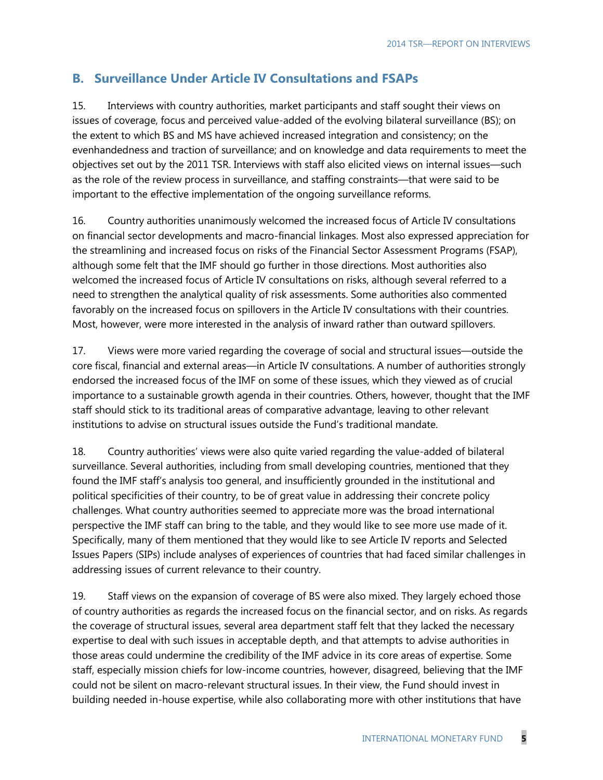## **B. Surveillance Under Article IV Consultations and FSAPs**

15. Interviews with country authorities, market participants and staff sought their views on issues of coverage, focus and perceived value-added of the evolving bilateral surveillance (BS); on the extent to which BS and MS have achieved increased integration and consistency; on the evenhandedness and traction of surveillance; and on knowledge and data requirements to meet the objectives set out by the 2011 TSR. Interviews with staff also elicited views on internal issues—such as the role of the review process in surveillance, and staffing constraints—that were said to be important to the effective implementation of the ongoing surveillance reforms.

16. Country authorities unanimously welcomed the increased focus of Article IV consultations on financial sector developments and macro-financial linkages. Most also expressed appreciation for the streamlining and increased focus on risks of the Financial Sector Assessment Programs (FSAP), although some felt that the IMF should go further in those directions. Most authorities also welcomed the increased focus of Article IV consultations on risks, although several referred to a need to strengthen the analytical quality of risk assessments. Some authorities also commented favorably on the increased focus on spillovers in the Article IV consultations with their countries. Most, however, were more interested in the analysis of inward rather than outward spillovers.

17. Views were more varied regarding the coverage of social and structural issues—outside the core fiscal, financial and external areas—in Article IV consultations. A number of authorities strongly endorsed the increased focus of the IMF on some of these issues, which they viewed as of crucial importance to a sustainable growth agenda in their countries. Others, however, thought that the IMF staff should stick to its traditional areas of comparative advantage, leaving to other relevant institutions to advise on structural issues outside the Fund's traditional mandate.

18. Country authorities' views were also quite varied regarding the value-added of bilateral surveillance. Several authorities, including from small developing countries, mentioned that they found the IMF staff's analysis too general, and insufficiently grounded in the institutional and political specificities of their country, to be of great value in addressing their concrete policy challenges. What country authorities seemed to appreciate more was the broad international perspective the IMF staff can bring to the table, and they would like to see more use made of it. Specifically, many of them mentioned that they would like to see Article IV reports and Selected Issues Papers (SIPs) include analyses of experiences of countries that had faced similar challenges in addressing issues of current relevance to their country.

19. Staff views on the expansion of coverage of BS were also mixed. They largely echoed those of country authorities as regards the increased focus on the financial sector, and on risks. As regards the coverage of structural issues, several area department staff felt that they lacked the necessary expertise to deal with such issues in acceptable depth, and that attempts to advise authorities in those areas could undermine the credibility of the IMF advice in its core areas of expertise. Some staff, especially mission chiefs for low-income countries, however, disagreed, believing that the IMF could not be silent on macro-relevant structural issues. In their view, the Fund should invest in building needed in-house expertise, while also collaborating more with other institutions that have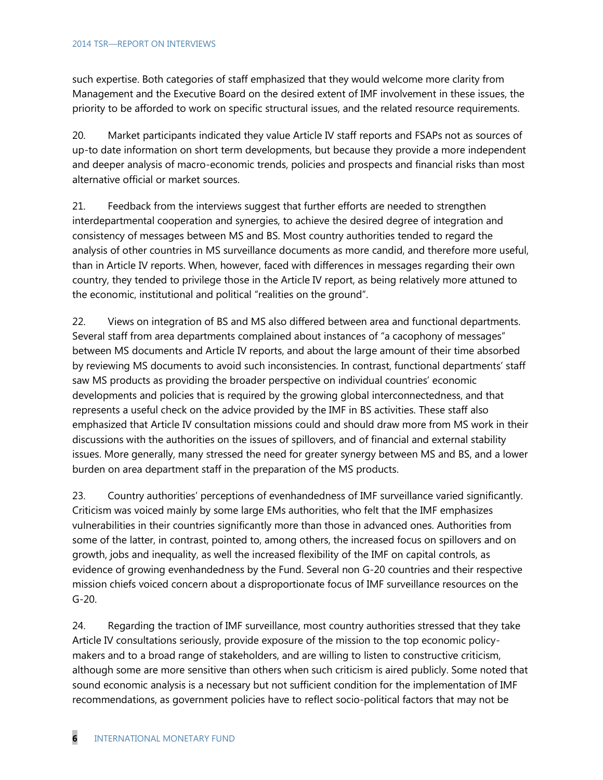such expertise. Both categories of staff emphasized that they would welcome more clarity from Management and the Executive Board on the desired extent of IMF involvement in these issues, the priority to be afforded to work on specific structural issues, and the related resource requirements.

20. Market participants indicated they value Article IV staff reports and FSAPs not as sources of up-to date information on short term developments, but because they provide a more independent and deeper analysis of macro-economic trends, policies and prospects and financial risks than most alternative official or market sources.

21. Feedback from the interviews suggest that further efforts are needed to strengthen interdepartmental cooperation and synergies, to achieve the desired degree of integration and consistency of messages between MS and BS. Most country authorities tended to regard the analysis of other countries in MS surveillance documents as more candid, and therefore more useful, than in Article IV reports. When, however, faced with differences in messages regarding their own country, they tended to privilege those in the Article IV report, as being relatively more attuned to the economic, institutional and political "realities on the ground".

22. Views on integration of BS and MS also differed between area and functional departments. Several staff from area departments complained about instances of "a cacophony of messages" between MS documents and Article IV reports, and about the large amount of their time absorbed by reviewing MS documents to avoid such inconsistencies. In contrast, functional departments' staff saw MS products as providing the broader perspective on individual countries' economic developments and policies that is required by the growing global interconnectedness, and that represents a useful check on the advice provided by the IMF in BS activities. These staff also emphasized that Article IV consultation missions could and should draw more from MS work in their discussions with the authorities on the issues of spillovers, and of financial and external stability issues. More generally, many stressed the need for greater synergy between MS and BS, and a lower burden on area department staff in the preparation of the MS products.

23. Country authorities' perceptions of evenhandedness of IMF surveillance varied significantly. Criticism was voiced mainly by some large EMs authorities, who felt that the IMF emphasizes vulnerabilities in their countries significantly more than those in advanced ones. Authorities from some of the latter, in contrast, pointed to, among others, the increased focus on spillovers and on growth, jobs and inequality, as well the increased flexibility of the IMF on capital controls, as evidence of growing evenhandedness by the Fund. Several non G-20 countries and their respective mission chiefs voiced concern about a disproportionate focus of IMF surveillance resources on the G-20.

24. Regarding the traction of IMF surveillance, most country authorities stressed that they take Article IV consultations seriously, provide exposure of the mission to the top economic policymakers and to a broad range of stakeholders, and are willing to listen to constructive criticism, although some are more sensitive than others when such criticism is aired publicly. Some noted that sound economic analysis is a necessary but not sufficient condition for the implementation of IMF recommendations, as government policies have to reflect socio-political factors that may not be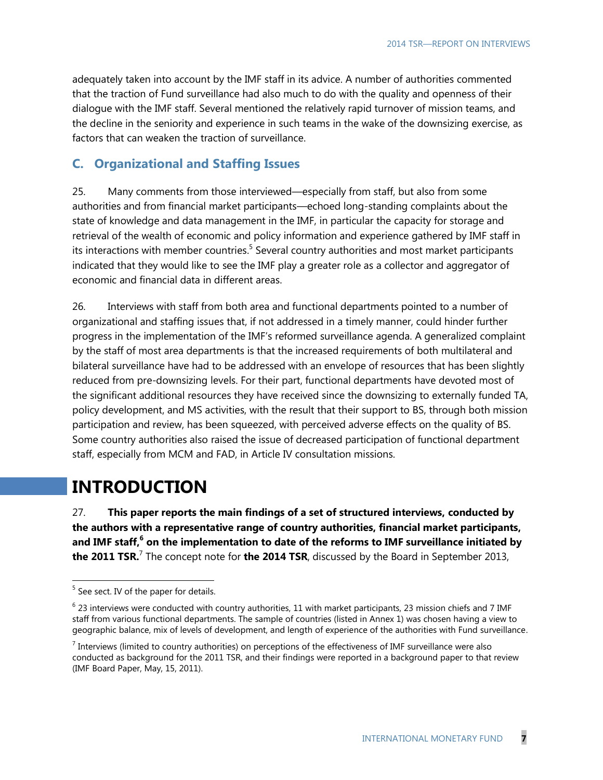adequately taken into account by the IMF staff in its advice. A number of authorities commented that the traction of Fund surveillance had also much to do with the quality and openness of their dialogue with the IMF staff. Several mentioned the relatively rapid turnover of mission teams, and the decline in the seniority and experience in such teams in the wake of the downsizing exercise, as factors that can weaken the traction of surveillance.

#### **C. Organizational and Staffing Issues**

25. Many comments from those interviewed—especially from staff, but also from some authorities and from financial market participants—echoed long-standing complaints about the state of knowledge and data management in the IMF, in particular the capacity for storage and retrieval of the wealth of economic and policy information and experience gathered by IMF staff in its interactions with member countries.<sup>5</sup> Several country authorities and most market participants indicated that they would like to see the IMF play a greater role as a collector and aggregator of economic and financial data in different areas.

26. Interviews with staff from both area and functional departments pointed to a number of organizational and staffing issues that, if not addressed in a timely manner, could hinder further progress in the implementation of the IMF's reformed surveillance agenda. A generalized complaint by the staff of most area departments is that the increased requirements of both multilateral and bilateral surveillance have had to be addressed with an envelope of resources that has been slightly reduced from pre-downsizing levels. For their part, functional departments have devoted most of the significant additional resources they have received since the downsizing to externally funded TA, policy development, and MS activities, with the result that their support to BS, through both mission participation and review, has been squeezed, with perceived adverse effects on the quality of BS. Some country authorities also raised the issue of decreased participation of functional department staff, especially from MCM and FAD, in Article IV consultation missions.

## **INTRODUCTION**

27. **This paper reports the main findings of a set of structured interviews, conducted by the authors with a representative range of country authorities, financial market participants,**  and IMF staff,<sup>6</sup> on the implementation to date of the reforms to IMF surveillance initiated by **the 2011 TSR.** 7 The concept note for **the 2014 TSR**, discussed by the Board in September 2013,

<sup>&</sup>lt;sup>5</sup> See sect. IV of the paper for details.

 $^6$  23 interviews were conducted with country authorities, 11 with market participants, 23 mission chiefs and 7 IMF staff from various functional departments. The sample of countries (listed in Annex 1) was chosen having a view to geographic balance, mix of levels of development, and length of experience of the authorities with Fund surveillance.

 $^7$  Interviews (limited to country authorities) on perceptions of the effectiveness of IMF surveillance were also conducted as background for the 2011 TSR, and their findings were reported in a background paper to that review (IMF Board Paper, May, 15, 2011).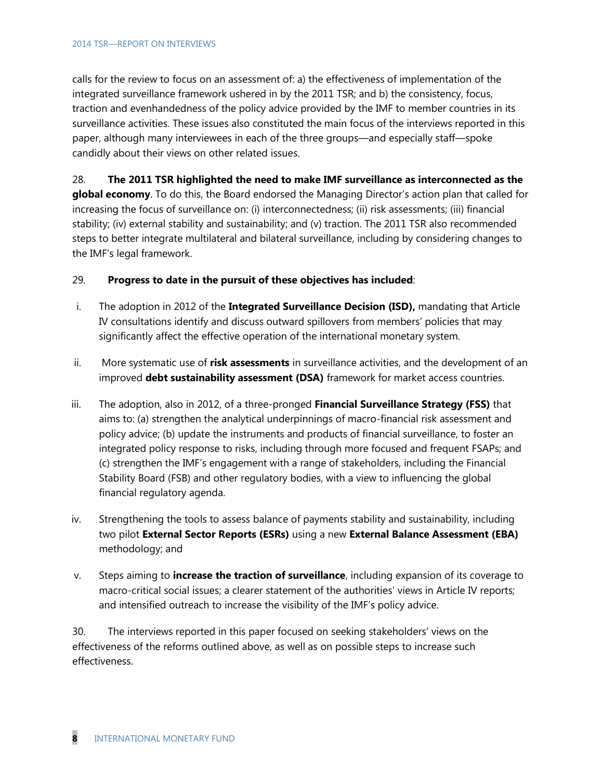#### 2014 TSR—REPORT ON INTERVIEWS

calls for the review to focus on an assessment of: a) the effectiveness of implementation of the integrated surveillance framework ushered in by the 2011 TSR; and b) the consistency, focus, traction and evenhandedness of the policy advice provided by the IMF to member countries in its surveillance activities. These issues also constituted the main focus of the interviews reported in this paper, although many interviewees in each of the three groups—and especially staff—spoke candidly about their views on other related issues.

### 28. **The 2011 TSR highlighted the need to make IMF surveillance as interconnected as the global economy**. To do this, the Board endorsed the Managing Director's action plan that called for increasing the focus of surveillance on: (i) interconnectedness; (ii) risk assessments; (iii) financial stability; (iv) external stability and sustainability; and (v) traction. The 2011 TSR also recommended steps to better integrate multilateral and bilateral surveillance, including by considering changes to the IMF's legal framework.

#### 29. **Progress to date in the pursuit of these objectives has included**:

- i. The adoption in 2012 of the **Integrated Surveillance Decision (ISD),** mandating that Article IV consultations identify and discuss outward spillovers from members' policies that may significantly affect the effective operation of the international monetary system.
- ii. More systematic use of **risk assessments** in surveillance activities, and the development of an improved **debt sustainability assessment (DSA)** framework for market access countries.
- iii. The adoption, also in 2012, of a three-pronged **Financial Surveillance Strategy (FSS)** that aims to: (a) strengthen the analytical underpinnings of macro-financial risk assessment and policy advice; (b) update the instruments and products of financial surveillance, to foster an integrated policy response to risks, including through more focused and frequent FSAPs; and (c) strengthen the IMF's engagement with a range of stakeholders, including the Financial Stability Board (FSB) and other regulatory bodies, with a view to influencing the global financial regulatory agenda.
- iv. Strengthening the tools to assess balance of payments stability and sustainability, including two pilot **External Sector Reports (ESRs)** using a new **External Balance Assessment (EBA)** methodology; and
- v. Steps aiming to **increase the traction of surveillance**, including expansion of its coverage to macro-critical social issues; a clearer statement of the authorities' views in Article IV reports; and intensified outreach to increase the visibility of the IMF's policy advice.

30. The interviews reported in this paper focused on seeking stakeholders' views on the effectiveness of the reforms outlined above, as well as on possible steps to increase such effectiveness.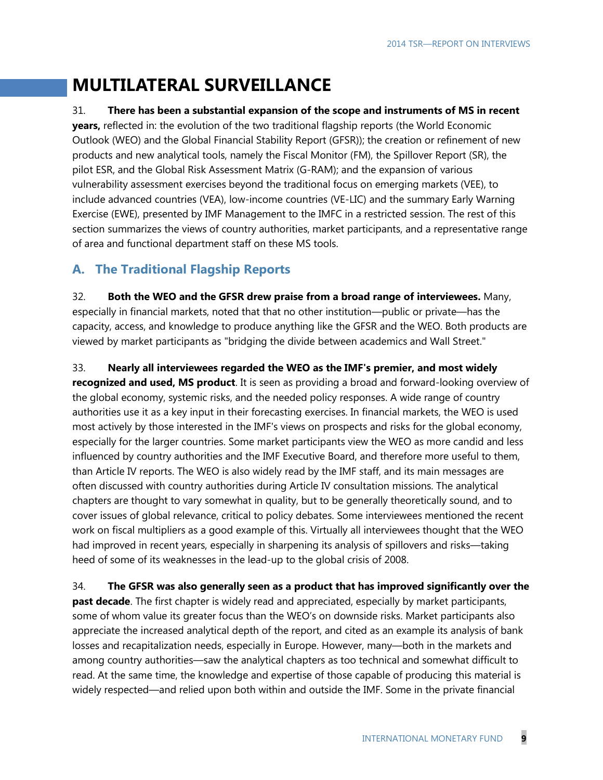# **MULTILATERAL SURVEILLANCE**

#### 31. **There has been a substantial expansion of the scope and instruments of MS in recent**

**years,** reflected in: the evolution of the two traditional flagship reports (the World Economic Outlook (WEO) and the Global Financial Stability Report (GFSR)); the creation or refinement of new products and new analytical tools, namely the Fiscal Monitor (FM), the Spillover Report (SR), the pilot ESR, and the Global Risk Assessment Matrix (G-RAM); and the expansion of various vulnerability assessment exercises beyond the traditional focus on emerging markets (VEE), to include advanced countries (VEA), low-income countries (VE-LIC) and the summary Early Warning Exercise (EWE), presented by IMF Management to the IMFC in a restricted session. The rest of this section summarizes the views of country authorities, market participants, and a representative range of area and functional department staff on these MS tools.

## **A. The Traditional Flagship Reports**

32. **Both the WEO and the GFSR drew praise from a broad range of interviewees.** Many, especially in financial markets, noted that that no other institution—public or private—has the capacity, access, and knowledge to produce anything like the GFSR and the WEO. Both products are viewed by market participants as "bridging the divide between academics and Wall Street."

33. **Nearly all interviewees regarded the WEO as the IMF's premier, and most widely** 

**recognized and used, MS product**. It is seen as providing a broad and forward-looking overview of the global economy, systemic risks, and the needed policy responses. A wide range of country authorities use it as a key input in their forecasting exercises. In financial markets, the WEO is used most actively by those interested in the IMF's views on prospects and risks for the global economy, especially for the larger countries. Some market participants view the WEO as more candid and less influenced by country authorities and the IMF Executive Board, and therefore more useful to them, than Article IV reports. The WEO is also widely read by the IMF staff, and its main messages are often discussed with country authorities during Article IV consultation missions. The analytical chapters are thought to vary somewhat in quality, but to be generally theoretically sound, and to cover issues of global relevance, critical to policy debates. Some interviewees mentioned the recent work on fiscal multipliers as a good example of this. Virtually all interviewees thought that the WEO had improved in recent years, especially in sharpening its analysis of spillovers and risks—taking heed of some of its weaknesses in the lead-up to the global crisis of 2008.

34. **The GFSR was also generally seen as a product that has improved significantly over the past decade**. The first chapter is widely read and appreciated, especially by market participants, some of whom value its greater focus than the WEO's on downside risks. Market participants also appreciate the increased analytical depth of the report, and cited as an example its analysis of bank losses and recapitalization needs, especially in Europe. However, many—both in the markets and among country authorities—saw the analytical chapters as too technical and somewhat difficult to read. At the same time, the knowledge and expertise of those capable of producing this material is widely respected—and relied upon both within and outside the IMF. Some in the private financial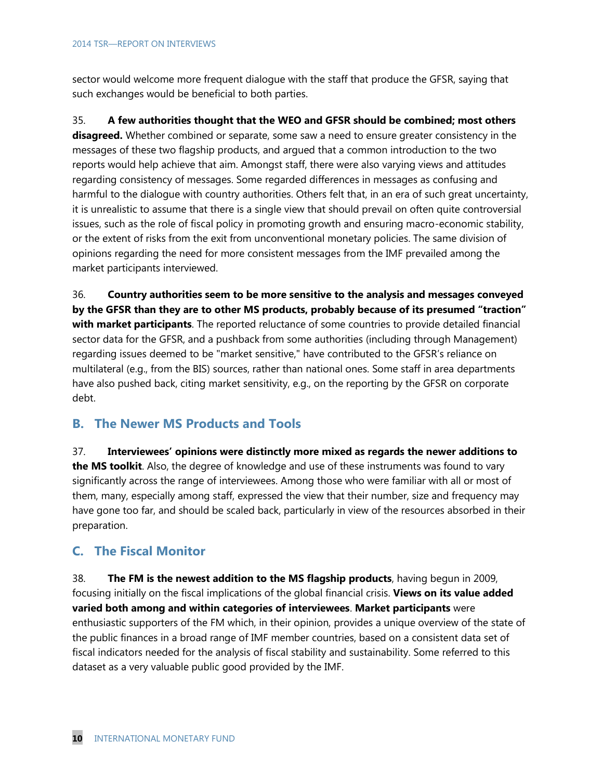sector would welcome more frequent dialogue with the staff that produce the GFSR, saying that such exchanges would be beneficial to both parties.

35. **A few authorities thought that the WEO and GFSR should be combined; most others disagreed.** Whether combined or separate, some saw a need to ensure greater consistency in the messages of these two flagship products, and argued that a common introduction to the two reports would help achieve that aim. Amongst staff, there were also varying views and attitudes regarding consistency of messages. Some regarded differences in messages as confusing and harmful to the dialogue with country authorities. Others felt that, in an era of such great uncertainty, it is unrealistic to assume that there is a single view that should prevail on often quite controversial issues, such as the role of fiscal policy in promoting growth and ensuring macro-economic stability, or the extent of risks from the exit from unconventional monetary policies. The same division of opinions regarding the need for more consistent messages from the IMF prevailed among the market participants interviewed.

36. **Country authorities seem to be more sensitive to the analysis and messages conveyed by the GFSR than they are to other MS products, probably because of its presumed "traction" with market participants**. The reported reluctance of some countries to provide detailed financial sector data for the GFSR, and a pushback from some authorities (including through Management) regarding issues deemed to be "market sensitive," have contributed to the GFSR's reliance on multilateral (e.g., from the BIS) sources, rather than national ones. Some staff in area departments have also pushed back, citing market sensitivity, e.g., on the reporting by the GFSR on corporate debt.

#### **B. The Newer MS Products and Tools**

37. **Interviewees' opinions were distinctly more mixed as regards the newer additions to the MS toolkit**. Also, the degree of knowledge and use of these instruments was found to vary significantly across the range of interviewees. Among those who were familiar with all or most of them, many, especially among staff, expressed the view that their number, size and frequency may have gone too far, and should be scaled back, particularly in view of the resources absorbed in their preparation.

## **C. The Fiscal Monitor**

38. **The FM is the newest addition to the MS flagship products**, having begun in 2009, focusing initially on the fiscal implications of the global financial crisis. **Views on its value added varied both among and within categories of interviewees**. **Market participants** were enthusiastic supporters of the FM which, in their opinion, provides a unique overview of the state of the public finances in a broad range of IMF member countries, based on a consistent data set of fiscal indicators needed for the analysis of fiscal stability and sustainability. Some referred to this dataset as a very valuable public good provided by the IMF.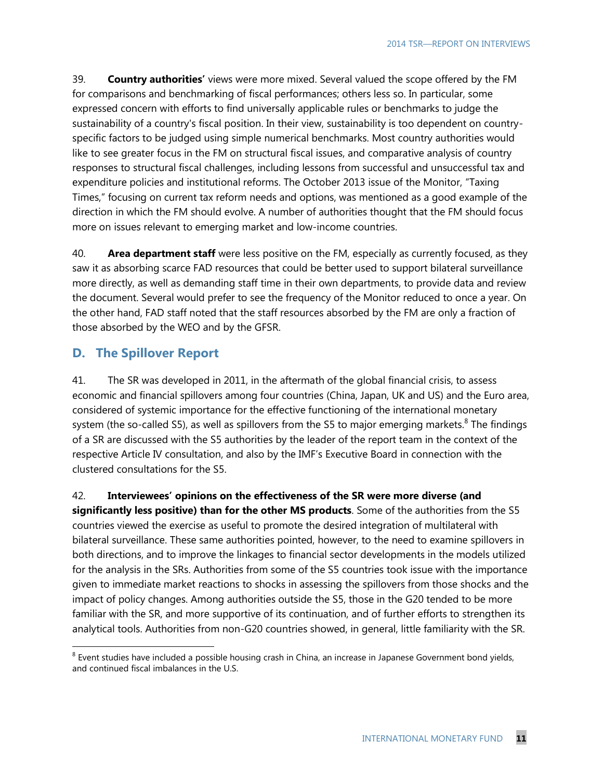39. **Country authorities'** views were more mixed. Several valued the scope offered by the FM for comparisons and benchmarking of fiscal performances; others less so. In particular, some expressed concern with efforts to find universally applicable rules or benchmarks to judge the sustainability of a country's fiscal position. In their view, sustainability is too dependent on countryspecific factors to be judged using simple numerical benchmarks. Most country authorities would like to see greater focus in the FM on structural fiscal issues, and comparative analysis of country responses to structural fiscal challenges, including lessons from successful and unsuccessful tax and expenditure policies and institutional reforms. The October 2013 issue of the Monitor, "Taxing Times," focusing on current tax reform needs and options, was mentioned as a good example of the direction in which the FM should evolve. A number of authorities thought that the FM should focus more on issues relevant to emerging market and low-income countries.

40. **Area department staff** were less positive on the FM, especially as currently focused, as they saw it as absorbing scarce FAD resources that could be better used to support bilateral surveillance more directly, as well as demanding staff time in their own departments, to provide data and review the document. Several would prefer to see the frequency of the Monitor reduced to once a year. On the other hand, FAD staff noted that the staff resources absorbed by the FM are only a fraction of those absorbed by the WEO and by the GFSR.

#### **D. The Spillover Report**

 $\overline{a}$ 

41. The SR was developed in 2011, in the aftermath of the global financial crisis, to assess economic and financial spillovers among four countries (China, Japan, UK and US) and the Euro area, considered of systemic importance for the effective functioning of the international monetary system (the so-called S5), as well as spillovers from the S5 to major emerging markets. $8$  The findings of a SR are discussed with the S5 authorities by the leader of the report team in the context of the respective Article IV consultation, and also by the IMF's Executive Board in connection with the clustered consultations for the S5.

42. **Interviewees' opinions on the effectiveness of the SR were more diverse (and significantly less positive) than for the other MS products**. Some of the authorities from the S5 countries viewed the exercise as useful to promote the desired integration of multilateral with bilateral surveillance. These same authorities pointed, however, to the need to examine spillovers in both directions, and to improve the linkages to financial sector developments in the models utilized for the analysis in the SRs. Authorities from some of the S5 countries took issue with the importance given to immediate market reactions to shocks in assessing the spillovers from those shocks and the impact of policy changes. Among authorities outside the S5, those in the G20 tended to be more familiar with the SR, and more supportive of its continuation, and of further efforts to strengthen its analytical tools. Authorities from non-G20 countries showed, in general, little familiarity with the SR.

 $^8$  Event studies have included a possible housing crash in China, an increase in Japanese Government bond yields, and continued fiscal imbalances in the U.S.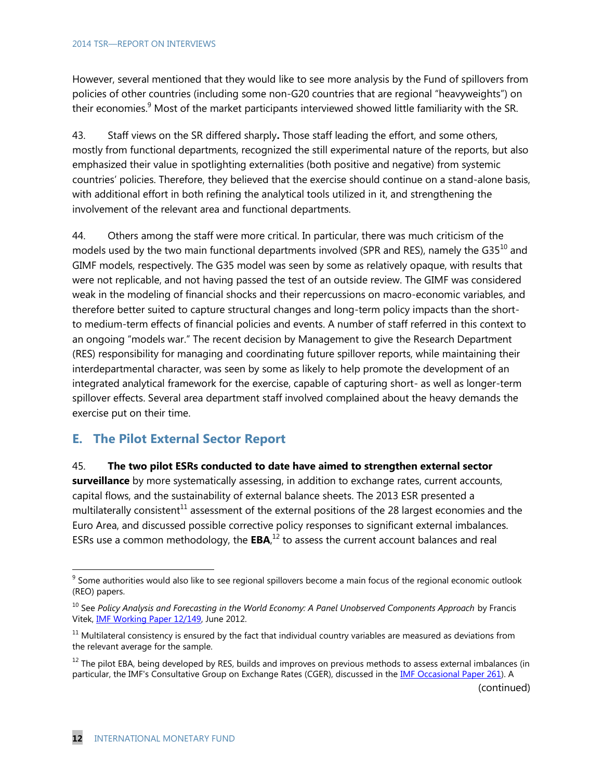However, several mentioned that they would like to see more analysis by the Fund of spillovers from policies of other countries (including some non-G20 countries that are regional "heavyweights") on their economies.<sup>9</sup> Most of the market participants interviewed showed little familiarity with the SR.

43. Staff views on the SR differed sharply**.** Those staff leading the effort, and some others, mostly from functional departments, recognized the still experimental nature of the reports, but also emphasized their value in spotlighting externalities (both positive and negative) from systemic countries' policies. Therefore, they believed that the exercise should continue on a stand-alone basis, with additional effort in both refining the analytical tools utilized in it, and strengthening the involvement of the relevant area and functional departments.

44. Others among the staff were more critical. In particular, there was much criticism of the models used by the two main functional departments involved (SPR and RES), namely the G35<sup>10</sup> and GIMF models, respectively. The G35 model was seen by some as relatively opaque, with results that were not replicable, and not having passed the test of an outside review. The GIMF was considered weak in the modeling of financial shocks and their repercussions on macro-economic variables, and therefore better suited to capture structural changes and long-term policy impacts than the shortto medium-term effects of financial policies and events. A number of staff referred in this context to an ongoing "models war." The recent decision by Management to give the Research Department (RES) responsibility for managing and coordinating future spillover reports, while maintaining their interdepartmental character, was seen by some as likely to help promote the development of an integrated analytical framework for the exercise, capable of capturing short- as well as longer-term spillover effects. Several area department staff involved complained about the heavy demands the exercise put on their time.

## **E. The Pilot External Sector Report**

#### 45. **The two pilot ESRs conducted to date have aimed to strengthen external sector**

**surveillance** by more systematically assessing, in addition to exchange rates, current accounts, capital flows, and the sustainability of external balance sheets. The 2013 ESR presented a multilaterally consistent<sup>11</sup> assessment of the external positions of the 28 largest economies and the Euro Area, and discussed possible corrective policy responses to significant external imbalances. ESRs use a common methodology, the  $EBA$ ,<sup>12</sup> to assess the current account balances and real

(continued)

 $9$  Some authorities would also like to see regional spillovers become a main focus of the regional economic outlook (REO) papers.

<sup>10</sup> See *Policy Analysis and Forecasting in the World Economy: A Panel Unobserved Components Approach* by Francis Vitek, **IMF Working Paper 12/149**, June 2012.

 $11$  Multilateral consistency is ensured by the fact that individual country variables are measured as deviations from the relevant average for the sample.

 $12$  The pilot EBA, being developed by RES, builds and improves on previous methods to assess external imbalances (in particular, the IMF's Consultative Group on Exchange Rates (CGER), discussed in th[e IMF Occasional Paper 261\)](http://www.imf.org/external/pubs/cat/longres.aspx?sk=19582.0). A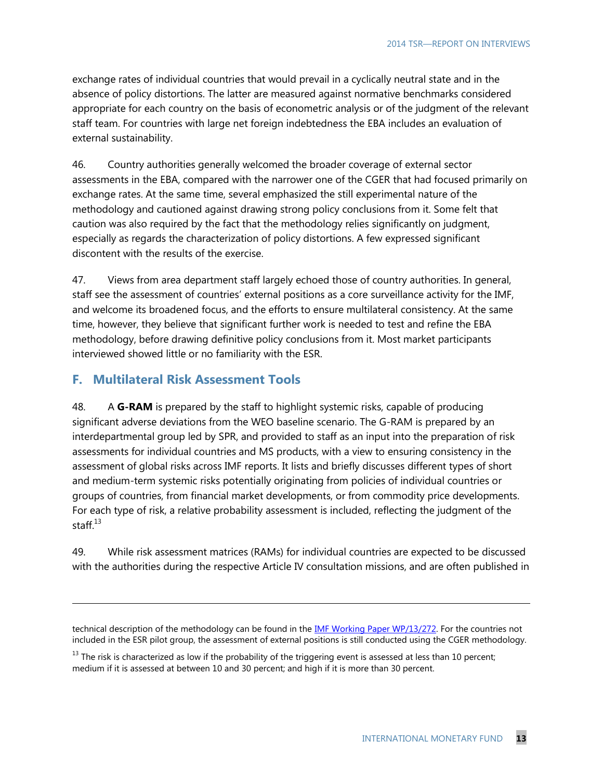exchange rates of individual countries that would prevail in a cyclically neutral state and in the absence of policy distortions. The latter are measured against normative benchmarks considered appropriate for each country on the basis of econometric analysis or of the judgment of the relevant staff team. For countries with large net foreign indebtedness the EBA includes an evaluation of external sustainability.

46. Country authorities generally welcomed the broader coverage of external sector assessments in the EBA, compared with the narrower one of the CGER that had focused primarily on exchange rates. At the same time, several emphasized the still experimental nature of the methodology and cautioned against drawing strong policy conclusions from it. Some felt that caution was also required by the fact that the methodology relies significantly on judgment, especially as regards the characterization of policy distortions. A few expressed significant discontent with the results of the exercise.

47. Views from area department staff largely echoed those of country authorities. In general, staff see the assessment of countries' external positions as a core surveillance activity for the IMF, and welcome its broadened focus, and the efforts to ensure multilateral consistency. At the same time, however, they believe that significant further work is needed to test and refine the EBA methodology, before drawing definitive policy conclusions from it. Most market participants interviewed showed little or no familiarity with the ESR.

## **F. Multilateral Risk Assessment Tools**

 $\overline{\phantom{a}}$ 

48. A **G-RAM** is prepared by the staff to highlight systemic risks, capable of producing significant adverse deviations from the WEO baseline scenario. The G-RAM is prepared by an interdepartmental group led by SPR, and provided to staff as an input into the preparation of risk assessments for individual countries and MS products, with a view to ensuring consistency in the assessment of global risks across IMF reports. It lists and briefly discusses different types of short and medium-term systemic risks potentially originating from policies of individual countries or groups of countries, from financial market developments, or from commodity price developments. For each type of risk, a relative probability assessment is included, reflecting the judgment of the staff.<sup>13</sup>

49. While risk assessment matrices (RAMs) for individual countries are expected to be discussed with the authorities during the respective Article IV consultation missions, and are often published in

technical description of the methodology can be found in the **IMF Working Paper WP/13/272**. For the countries not included in the ESR pilot group, the assessment of external positions is still conducted using the CGER methodology.

 $^{13}$  The risk is characterized as low if the probability of the triggering event is assessed at less than 10 percent; medium if it is assessed at between 10 and 30 percent; and high if it is more than 30 percent.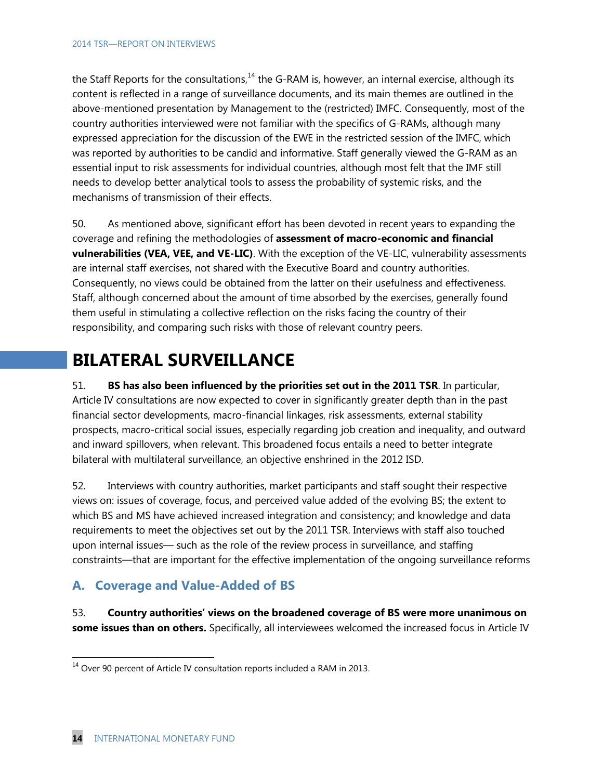the Staff Reports for the consultations, $^{14}$  the G-RAM is, however, an internal exercise, although its content is reflected in a range of surveillance documents, and its main themes are outlined in the above-mentioned presentation by Management to the (restricted) IMFC. Consequently, most of the country authorities interviewed were not familiar with the specifics of G-RAMs, although many expressed appreciation for the discussion of the EWE in the restricted session of the IMFC, which was reported by authorities to be candid and informative. Staff generally viewed the G-RAM as an essential input to risk assessments for individual countries, although most felt that the IMF still needs to develop better analytical tools to assess the probability of systemic risks, and the mechanisms of transmission of their effects.

50. As mentioned above, significant effort has been devoted in recent years to expanding the coverage and refining the methodologies of **assessment of macro-economic and financial vulnerabilities (VEA, VEE, and VE-LIC)**. With the exception of the VE-LIC, vulnerability assessments are internal staff exercises, not shared with the Executive Board and country authorities. Consequently, no views could be obtained from the latter on their usefulness and effectiveness. Staff, although concerned about the amount of time absorbed by the exercises, generally found them useful in stimulating a collective reflection on the risks facing the country of their responsibility, and comparing such risks with those of relevant country peers.

# **BILATERAL SURVEILLANCE**

51. **BS has also been influenced by the priorities set out in the 2011 TSR**. In particular, Article IV consultations are now expected to cover in significantly greater depth than in the past financial sector developments, macro-financial linkages, risk assessments, external stability prospects, macro-critical social issues, especially regarding job creation and inequality, and outward and inward spillovers, when relevant. This broadened focus entails a need to better integrate bilateral with multilateral surveillance, an objective enshrined in the 2012 ISD.

52. Interviews with country authorities, market participants and staff sought their respective views on: issues of coverage, focus, and perceived value added of the evolving BS; the extent to which BS and MS have achieved increased integration and consistency; and knowledge and data requirements to meet the objectives set out by the 2011 TSR. Interviews with staff also touched upon internal issues— such as the role of the review process in surveillance, and staffing constraints—that are important for the effective implementation of the ongoing surveillance reforms

## **A. Coverage and Value-Added of BS**

53. **Country authorities' views on the broadened coverage of BS were more unanimous on some issues than on others.** Specifically, all interviewees welcomed the increased focus in Article IV

 $14$  Over 90 percent of Article IV consultation reports included a RAM in 2013.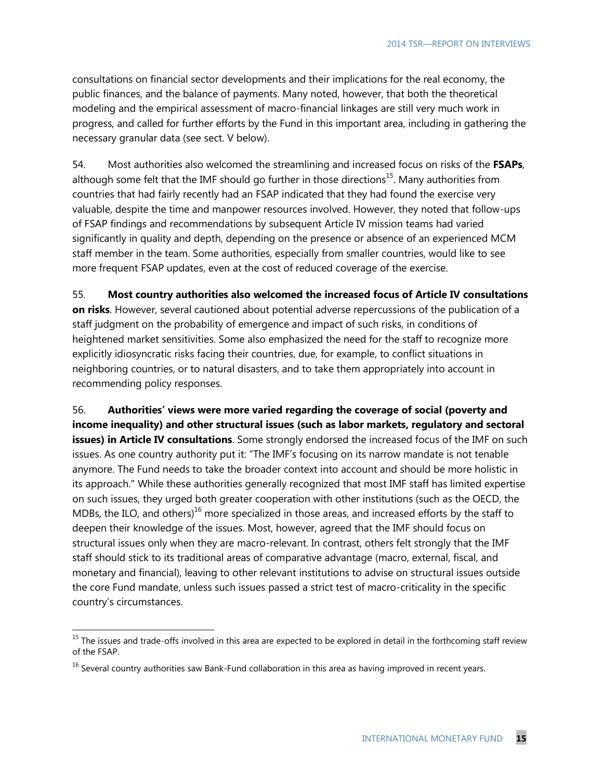consultations on financial sector developments and their implications for the real economy, the public finances, and the balance of payments. Many noted, however, that both the theoretical modeling and the empirical assessment of macro-financial linkages are still very much work in progress, and called for further efforts by the Fund in this important area, including in gathering the necessary granular data (see sect. V below).

54. Most authorities also welcomed the streamlining and increased focus on risks of the **FSAPs**, although some felt that the IMF should go further in those directions<sup>15</sup>. Many authorities from countries that had fairly recently had an FSAP indicated that they had found the exercise very valuable, despite the time and manpower resources involved. However, they noted that follow-ups of FSAP findings and recommendations by subsequent Article IV mission teams had varied significantly in quality and depth, depending on the presence or absence of an experienced MCM staff member in the team. Some authorities, especially from smaller countries, would like to see more frequent FSAP updates, even at the cost of reduced coverage of the exercise.

55. **Most country authorities also welcomed the increased focus of Article IV consultations on risks**. However, several cautioned about potential adverse repercussions of the publication of a staff judgment on the probability of emergence and impact of such risks, in conditions of heightened market sensitivities. Some also emphasized the need for the staff to recognize more explicitly idiosyncratic risks facing their countries, due, for example, to conflict situations in neighboring countries, or to natural disasters, and to take them appropriately into account in recommending policy responses.

56. **Authorities' views were more varied regarding the coverage of social (poverty and income inequality) and other structural issues (such as labor markets, regulatory and sectoral issues) in Article IV consultations**. Some strongly endorsed the increased focus of the IMF on such issues. As one country authority put it: "The IMF's focusing on its narrow mandate is not tenable anymore. The Fund needs to take the broader context into account and should be more holistic in its approach." While these authorities generally recognized that most IMF staff has limited expertise on such issues, they urged both greater cooperation with other institutions (such as the OECD, the MDBs, the ILO, and others)<sup>16</sup> more specialized in those areas, and increased efforts by the staff to deepen their knowledge of the issues. Most, however, agreed that the IMF should focus on structural issues only when they are macro-relevant. In contrast, others felt strongly that the IMF staff should stick to its traditional areas of comparative advantage (macro, external, fiscal, and monetary and financial), leaving to other relevant institutions to advise on structural issues outside the core Fund mandate, unless such issues passed a strict test of macro-criticality in the specific country's circumstances.

 $15$  The issues and trade-offs involved in this area are expected to be explored in detail in the forthcoming staff review of the FSAP.

 $16$  Several country authorities saw Bank-Fund collaboration in this area as having improved in recent years.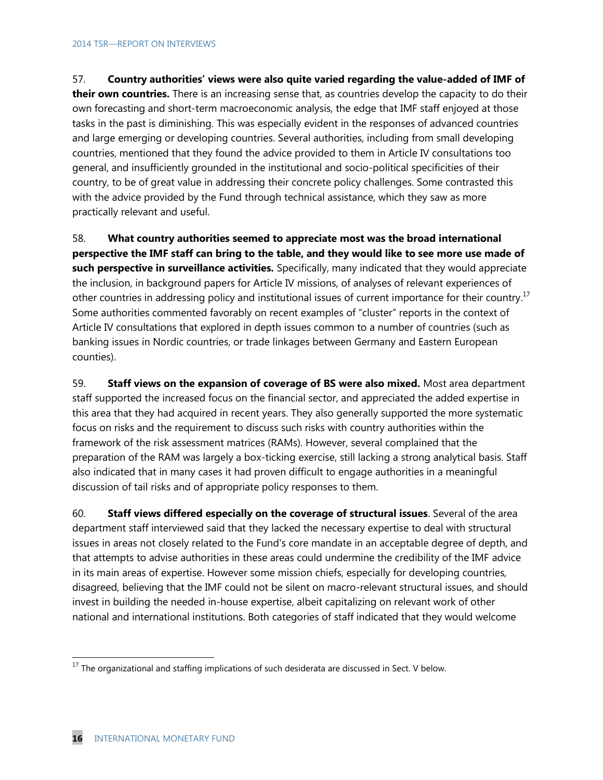57. **Country authorities' views were also quite varied regarding the value-added of IMF of their own countries.** There is an increasing sense that, as countries develop the capacity to do their own forecasting and short-term macroeconomic analysis, the edge that IMF staff enjoyed at those tasks in the past is diminishing. This was especially evident in the responses of advanced countries and large emerging or developing countries. Several authorities, including from small developing countries, mentioned that they found the advice provided to them in Article IV consultations too general, and insufficiently grounded in the institutional and socio-political specificities of their country, to be of great value in addressing their concrete policy challenges. Some contrasted this with the advice provided by the Fund through technical assistance, which they saw as more practically relevant and useful.

58. **What country authorities seemed to appreciate most was the broad international perspective the IMF staff can bring to the table, and they would like to see more use made of such perspective in surveillance activities.** Specifically, many indicated that they would appreciate the inclusion, in background papers for Article IV missions, of analyses of relevant experiences of other countries in addressing policy and institutional issues of current importance for their country.<sup>17</sup> Some authorities commented favorably on recent examples of "cluster" reports in the context of Article IV consultations that explored in depth issues common to a number of countries (such as banking issues in Nordic countries, or trade linkages between Germany and Eastern European counties).

59. **Staff views on the expansion of coverage of BS were also mixed.** Most area department staff supported the increased focus on the financial sector, and appreciated the added expertise in this area that they had acquired in recent years. They also generally supported the more systematic focus on risks and the requirement to discuss such risks with country authorities within the framework of the risk assessment matrices (RAMs). However, several complained that the preparation of the RAM was largely a box-ticking exercise, still lacking a strong analytical basis. Staff also indicated that in many cases it had proven difficult to engage authorities in a meaningful discussion of tail risks and of appropriate policy responses to them.

60. **Staff views differed especially on the coverage of structural issues**. Several of the area department staff interviewed said that they lacked the necessary expertise to deal with structural issues in areas not closely related to the Fund's core mandate in an acceptable degree of depth, and that attempts to advise authorities in these areas could undermine the credibility of the IMF advice in its main areas of expertise. However some mission chiefs, especially for developing countries, disagreed, believing that the IMF could not be silent on macro-relevant structural issues, and should invest in building the needed in-house expertise, albeit capitalizing on relevant work of other national and international institutions. Both categories of staff indicated that they would welcome

 $17$  The organizational and staffing implications of such desiderata are discussed in Sect. V below.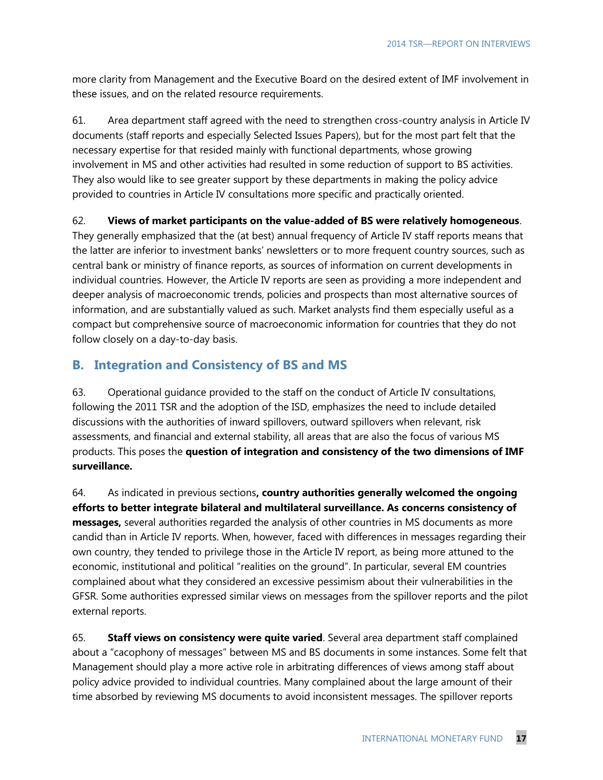more clarity from Management and the Executive Board on the desired extent of IMF involvement in these issues, and on the related resource requirements.

61. Area department staff agreed with the need to strengthen cross-country analysis in Article IV documents (staff reports and especially Selected Issues Papers), but for the most part felt that the necessary expertise for that resided mainly with functional departments, whose growing involvement in MS and other activities had resulted in some reduction of support to BS activities. They also would like to see greater support by these departments in making the policy advice provided to countries in Article IV consultations more specific and practically oriented.

#### 62. **Views of market participants on the value-added of BS were relatively homogeneous**.

They generally emphasized that the (at best) annual frequency of Article IV staff reports means that the latter are inferior to investment banks' newsletters or to more frequent country sources, such as central bank or ministry of finance reports, as sources of information on current developments in individual countries. However, the Article IV reports are seen as providing a more independent and deeper analysis of macroeconomic trends, policies and prospects than most alternative sources of information, and are substantially valued as such. Market analysts find them especially useful as a compact but comprehensive source of macroeconomic information for countries that they do not follow closely on a day-to-day basis.

## **B. Integration and Consistency of BS and MS**

63. Operational guidance provided to the staff on the conduct of Article IV consultations, following the 2011 TSR and the adoption of the ISD, emphasizes the need to include detailed discussions with the authorities of inward spillovers, outward spillovers when relevant, risk assessments, and financial and external stability, all areas that are also the focus of various MS products. This poses the **question of integration and consistency of the two dimensions of IMF surveillance.** 

64. As indicated in previous sections**, country authorities generally welcomed the ongoing efforts to better integrate bilateral and multilateral surveillance. As concerns consistency of messages,** several authorities regarded the analysis of other countries in MS documents as more candid than in Article IV reports. When, however, faced with differences in messages regarding their own country, they tended to privilege those in the Article IV report, as being more attuned to the economic, institutional and political "realities on the ground". In particular, several EM countries complained about what they considered an excessive pessimism about their vulnerabilities in the GFSR. Some authorities expressed similar views on messages from the spillover reports and the pilot external reports.

65. **Staff views on consistency were quite varied**. Several area department staff complained about a "cacophony of messages" between MS and BS documents in some instances. Some felt that Management should play a more active role in arbitrating differences of views among staff about policy advice provided to individual countries. Many complained about the large amount of their time absorbed by reviewing MS documents to avoid inconsistent messages. The spillover reports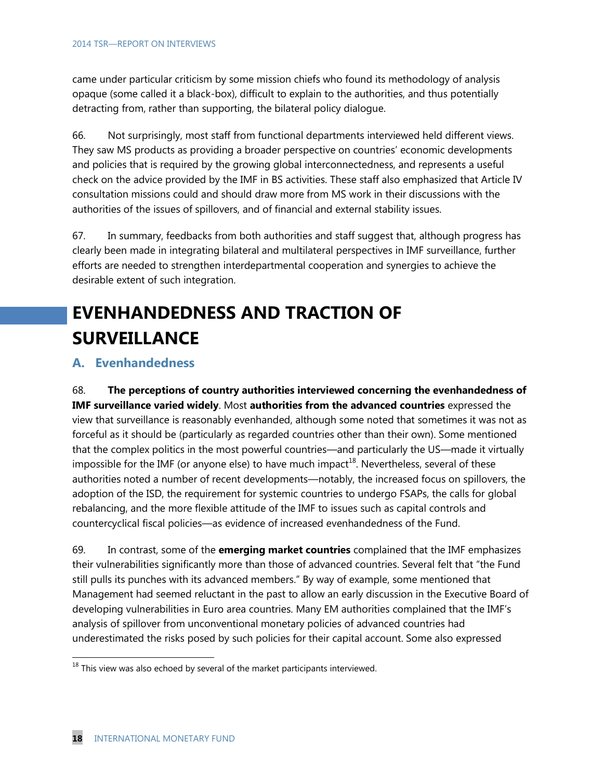came under particular criticism by some mission chiefs who found its methodology of analysis opaque (some called it a black-box), difficult to explain to the authorities, and thus potentially detracting from, rather than supporting, the bilateral policy dialogue.

66. Not surprisingly, most staff from functional departments interviewed held different views. They saw MS products as providing a broader perspective on countries' economic developments and policies that is required by the growing global interconnectedness, and represents a useful check on the advice provided by the IMF in BS activities. These staff also emphasized that Article IV consultation missions could and should draw more from MS work in their discussions with the authorities of the issues of spillovers, and of financial and external stability issues.

67. In summary, feedbacks from both authorities and staff suggest that, although progress has clearly been made in integrating bilateral and multilateral perspectives in IMF surveillance, further efforts are needed to strengthen interdepartmental cooperation and synergies to achieve the desirable extent of such integration.

# **EVENHANDEDNESS AND TRACTION OF SURVEILLANCE**

### **A. Evenhandedness**

68. **The perceptions of country authorities interviewed concerning the evenhandedness of IMF surveillance varied widely**. Most **authorities from the advanced countries** expressed the view that surveillance is reasonably evenhanded, although some noted that sometimes it was not as forceful as it should be (particularly as regarded countries other than their own). Some mentioned that the complex politics in the most powerful countries—and particularly the US—made it virtually impossible for the IMF (or anyone else) to have much impact<sup>18</sup>. Nevertheless, several of these authorities noted a number of recent developments—notably, the increased focus on spillovers, the adoption of the ISD, the requirement for systemic countries to undergo FSAPs, the calls for global rebalancing, and the more flexible attitude of the IMF to issues such as capital controls and countercyclical fiscal policies—as evidence of increased evenhandedness of the Fund.

69. In contrast, some of the **emerging market countries** complained that the IMF emphasizes their vulnerabilities significantly more than those of advanced countries. Several felt that "the Fund still pulls its punches with its advanced members." By way of example, some mentioned that Management had seemed reluctant in the past to allow an early discussion in the Executive Board of developing vulnerabilities in Euro area countries. Many EM authorities complained that the IMF's analysis of spillover from unconventional monetary policies of advanced countries had underestimated the risks posed by such policies for their capital account. Some also expressed

 $^{18}$  This view was also echoed by several of the market participants interviewed.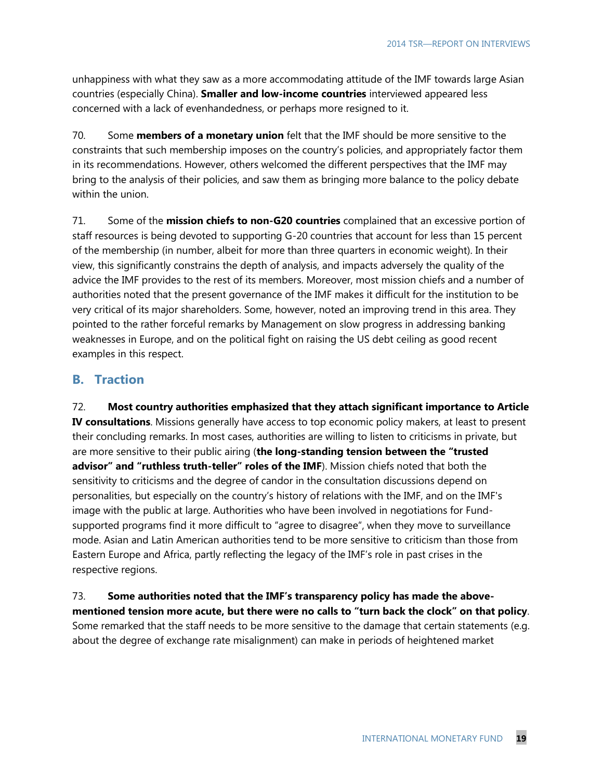unhappiness with what they saw as a more accommodating attitude of the IMF towards large Asian countries (especially China). **Smaller and low-income countries** interviewed appeared less concerned with a lack of evenhandedness, or perhaps more resigned to it.

70. Some **members of a monetary union** felt that the IMF should be more sensitive to the constraints that such membership imposes on the country's policies, and appropriately factor them in its recommendations. However, others welcomed the different perspectives that the IMF may bring to the analysis of their policies, and saw them as bringing more balance to the policy debate within the union.

71. Some of the **mission chiefs to non-G20 countries** complained that an excessive portion of staff resources is being devoted to supporting G-20 countries that account for less than 15 percent of the membership (in number, albeit for more than three quarters in economic weight). In their view, this significantly constrains the depth of analysis, and impacts adversely the quality of the advice the IMF provides to the rest of its members. Moreover, most mission chiefs and a number of authorities noted that the present governance of the IMF makes it difficult for the institution to be very critical of its major shareholders. Some, however, noted an improving trend in this area. They pointed to the rather forceful remarks by Management on slow progress in addressing banking weaknesses in Europe, and on the political fight on raising the US debt ceiling as good recent examples in this respect.

### **B. Traction**

72. **Most country authorities emphasized that they attach significant importance to Article IV consultations**. Missions generally have access to top economic policy makers, at least to present their concluding remarks. In most cases, authorities are willing to listen to criticisms in private, but are more sensitive to their public airing (**the long-standing tension between the "trusted advisor" and "ruthless truth-teller" roles of the IMF**). Mission chiefs noted that both the sensitivity to criticisms and the degree of candor in the consultation discussions depend on personalities, but especially on the country's history of relations with the IMF, and on the IMF's image with the public at large. Authorities who have been involved in negotiations for Fundsupported programs find it more difficult to "agree to disagree", when they move to surveillance mode. Asian and Latin American authorities tend to be more sensitive to criticism than those from Eastern Europe and Africa, partly reflecting the legacy of the IMF's role in past crises in the respective regions.

73. **Some authorities noted that the IMF's transparency policy has made the abovementioned tension more acute, but there were no calls to "turn back the clock" on that policy**. Some remarked that the staff needs to be more sensitive to the damage that certain statements (e.g. about the degree of exchange rate misalignment) can make in periods of heightened market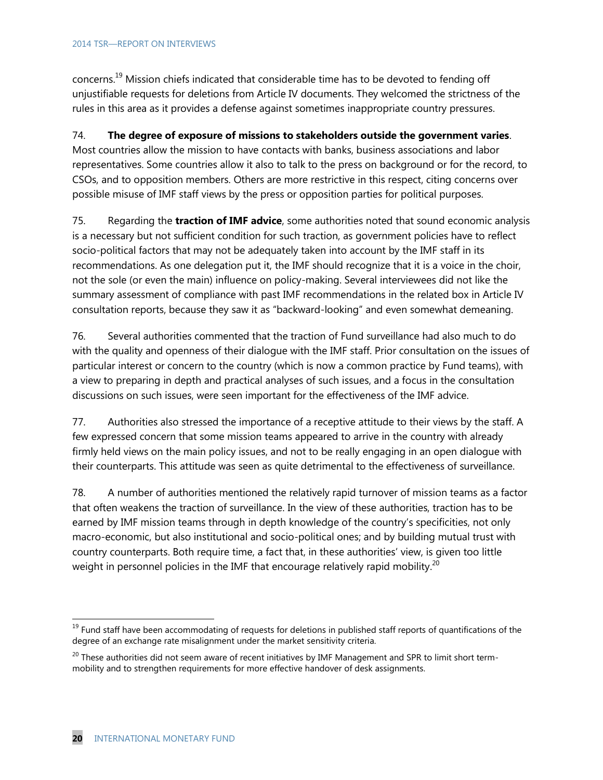concerns.<sup>19</sup> Mission chiefs indicated that considerable time has to be devoted to fending off unjustifiable requests for deletions from Article IV documents. They welcomed the strictness of the rules in this area as it provides a defense against sometimes inappropriate country pressures.

#### 74. **The degree of exposure of missions to stakeholders outside the government varies**.

Most countries allow the mission to have contacts with banks, business associations and labor representatives. Some countries allow it also to talk to the press on background or for the record, to CSOs, and to opposition members. Others are more restrictive in this respect, citing concerns over possible misuse of IMF staff views by the press or opposition parties for political purposes.

75. Regarding the **traction of IMF advice**, some authorities noted that sound economic analysis is a necessary but not sufficient condition for such traction, as government policies have to reflect socio-political factors that may not be adequately taken into account by the IMF staff in its recommendations. As one delegation put it, the IMF should recognize that it is a voice in the choir, not the sole (or even the main) influence on policy-making. Several interviewees did not like the summary assessment of compliance with past IMF recommendations in the related box in Article IV consultation reports, because they saw it as "backward-looking" and even somewhat demeaning.

76. Several authorities commented that the traction of Fund surveillance had also much to do with the quality and openness of their dialogue with the IMF staff. Prior consultation on the issues of particular interest or concern to the country (which is now a common practice by Fund teams), with a view to preparing in depth and practical analyses of such issues, and a focus in the consultation discussions on such issues, were seen important for the effectiveness of the IMF advice.

77. Authorities also stressed the importance of a receptive attitude to their views by the staff. A few expressed concern that some mission teams appeared to arrive in the country with already firmly held views on the main policy issues, and not to be really engaging in an open dialogue with their counterparts. This attitude was seen as quite detrimental to the effectiveness of surveillance.

78. A number of authorities mentioned the relatively rapid turnover of mission teams as a factor that often weakens the traction of surveillance. In the view of these authorities, traction has to be earned by IMF mission teams through in depth knowledge of the country's specificities, not only macro-economic, but also institutional and socio-political ones; and by building mutual trust with country counterparts. Both require time, a fact that, in these authorities' view, is given too little weight in personnel policies in the IMF that encourage relatively rapid mobility.<sup>20</sup>

<sup>&</sup>lt;sup>19</sup> Fund staff have been accommodating of requests for deletions in published staff reports of quantifications of the degree of an exchange rate misalignment under the market sensitivity criteria.

<sup>&</sup>lt;sup>20</sup> These authorities did not seem aware of recent initiatives by IMF Management and SPR to limit short termmobility and to strengthen requirements for more effective handover of desk assignments.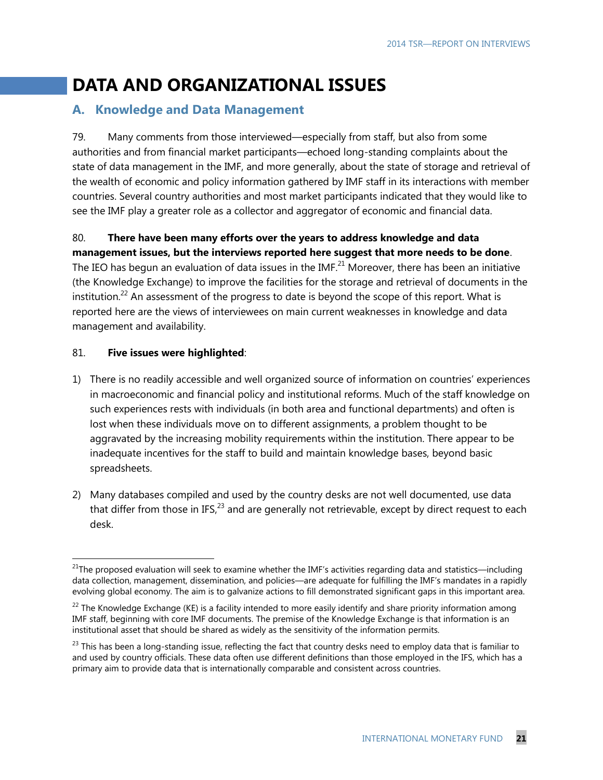## **DATA AND ORGANIZATIONAL ISSUES**

### **A. Knowledge and Data Management**

79. Many comments from those interviewed—especially from staff, but also from some authorities and from financial market participants—echoed long-standing complaints about the state of data management in the IMF, and more generally, about the state of storage and retrieval of the wealth of economic and policy information gathered by IMF staff in its interactions with member countries. Several country authorities and most market participants indicated that they would like to see the IMF play a greater role as a collector and aggregator of economic and financial data.

#### 80. **There have been many efforts over the years to address knowledge and data management issues, but the interviews reported here suggest that more needs to be done**.

The IEO has begun an evaluation of data issues in the IMF. $^{21}$  Moreover, there has been an initiative (the Knowledge Exchange) to improve the facilities for the storage and retrieval of documents in the institution.<sup>22</sup> An assessment of the progress to date is beyond the scope of this report. What is reported here are the views of interviewees on main current weaknesses in knowledge and data management and availability.

#### 81. **Five issues were highlighted**:

- 1) There is no readily accessible and well organized source of information on countries' experiences in macroeconomic and financial policy and institutional reforms. Much of the staff knowledge on such experiences rests with individuals (in both area and functional departments) and often is lost when these individuals move on to different assignments, a problem thought to be aggravated by the increasing mobility requirements within the institution. There appear to be inadequate incentives for the staff to build and maintain knowledge bases, beyond basic spreadsheets.
- 2) Many databases compiled and used by the country desks are not well documented, use data that differ from those in IFS,  $^{23}$  and are generally not retrievable, except by direct request to each desk.

 $^{21}$ The proposed evaluation will seek to examine whether the IMF's activities regarding data and statistics—including data collection, management, dissemination, and policies—are adequate for fulfilling the IMF's mandates in a rapidly evolving global economy. The aim is to galvanize actions to fill demonstrated significant gaps in this important area.

 $22$  The Knowledge Exchange (KE) is a facility intended to more easily identify and share priority information among IMF staff, beginning with core IMF documents. The premise of the Knowledge Exchange is that information is an institutional asset that should be shared as widely as the sensitivity of the information permits.

 $^{23}$  This has been a long-standing issue, reflecting the fact that country desks need to employ data that is familiar to and used by country officials. These data often use different definitions than those employed in the IFS, which has a primary aim to provide data that is internationally comparable and consistent across countries.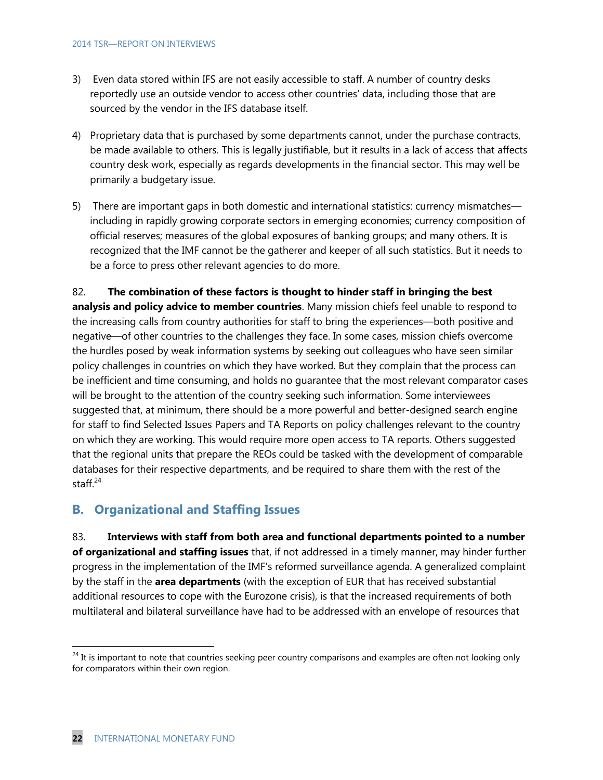- 3) Even data stored within IFS are not easily accessible to staff. A number of country desks reportedly use an outside vendor to access other countries' data, including those that are sourced by the vendor in the IFS database itself.
- 4) Proprietary data that is purchased by some departments cannot, under the purchase contracts, be made available to others. This is legally justifiable, but it results in a lack of access that affects country desk work, especially as regards developments in the financial sector. This may well be primarily a budgetary issue.
- 5) There are important gaps in both domestic and international statistics: currency mismatches including in rapidly growing corporate sectors in emerging economies; currency composition of official reserves; measures of the global exposures of banking groups; and many others. It is recognized that the IMF cannot be the gatherer and keeper of all such statistics. But it needs to be a force to press other relevant agencies to do more.

82. **The combination of these factors is thought to hinder staff in bringing the best analysis and policy advice to member countries**. Many mission chiefs feel unable to respond to the increasing calls from country authorities for staff to bring the experiences—both positive and negative—of other countries to the challenges they face. In some cases, mission chiefs overcome the hurdles posed by weak information systems by seeking out colleagues who have seen similar policy challenges in countries on which they have worked. But they complain that the process can be inefficient and time consuming, and holds no guarantee that the most relevant comparator cases will be brought to the attention of the country seeking such information. Some interviewees suggested that, at minimum, there should be a more powerful and better-designed search engine for staff to find Selected Issues Papers and TA Reports on policy challenges relevant to the country on which they are working. This would require more open access to TA reports. Others suggested that the regional units that prepare the REOs could be tasked with the development of comparable databases for their respective departments, and be required to share them with the rest of the staff. 24

#### **B. Organizational and Staffing Issues**

83. **Interviews with staff from both area and functional departments pointed to a number of organizational and staffing issues** that, if not addressed in a timely manner, may hinder further progress in the implementation of the IMF's reformed surveillance agenda. A generalized complaint by the staff in the **area departments** (with the exception of EUR that has received substantial additional resources to cope with the Eurozone crisis), is that the increased requirements of both multilateral and bilateral surveillance have had to be addressed with an envelope of resources that

 $^{24}$  It is important to note that countries seeking peer country comparisons and examples are often not looking only for comparators within their own region.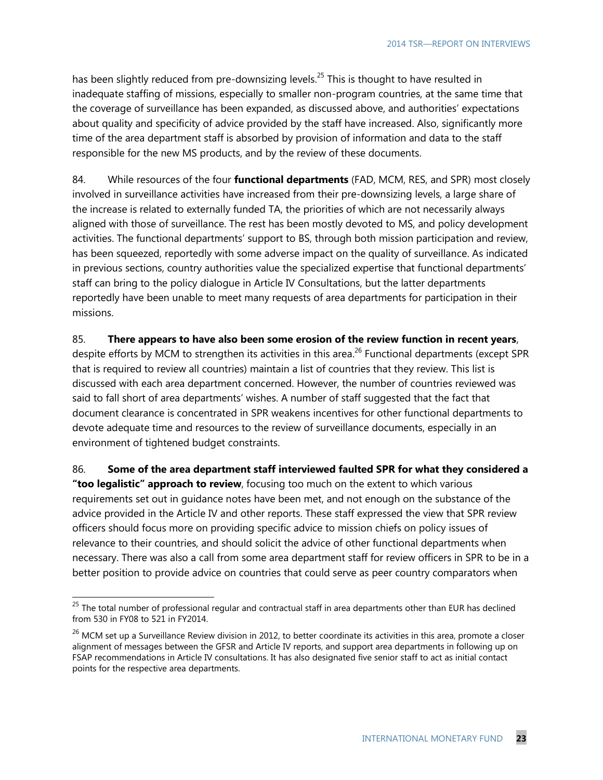has been slightly reduced from pre-downsizing levels.<sup>25</sup> This is thought to have resulted in inadequate staffing of missions, especially to smaller non-program countries, at the same time that the coverage of surveillance has been expanded, as discussed above, and authorities' expectations about quality and specificity of advice provided by the staff have increased. Also, significantly more time of the area department staff is absorbed by provision of information and data to the staff responsible for the new MS products, and by the review of these documents.

84. While resources of the four **functional departments** (FAD, MCM, RES, and SPR) most closely involved in surveillance activities have increased from their pre-downsizing levels, a large share of the increase is related to externally funded TA, the priorities of which are not necessarily always aligned with those of surveillance. The rest has been mostly devoted to MS, and policy development activities. The functional departments' support to BS, through both mission participation and review, has been squeezed, reportedly with some adverse impact on the quality of surveillance. As indicated in previous sections, country authorities value the specialized expertise that functional departments' staff can bring to the policy dialogue in Article IV Consultations, but the latter departments reportedly have been unable to meet many requests of area departments for participation in their missions.

#### 85. **There appears to have also been some erosion of the review function in recent years**,

despite efforts by MCM to strengthen its activities in this area.<sup>26</sup> Functional departments (except SPR that is required to review all countries) maintain a list of countries that they review. This list is discussed with each area department concerned. However, the number of countries reviewed was said to fall short of area departments' wishes. A number of staff suggested that the fact that document clearance is concentrated in SPR weakens incentives for other functional departments to devote adequate time and resources to the review of surveillance documents, especially in an environment of tightened budget constraints.

86. **Some of the area department staff interviewed faulted SPR for what they considered a "too legalistic" approach to review**, focusing too much on the extent to which various requirements set out in guidance notes have been met, and not enough on the substance of the advice provided in the Article IV and other reports. These staff expressed the view that SPR review officers should focus more on providing specific advice to mission chiefs on policy issues of relevance to their countries, and should solicit the advice of other functional departments when necessary. There was also a call from some area department staff for review officers in SPR to be in a better position to provide advice on countries that could serve as peer country comparators when

 $^{25}$  The total number of professional regular and contractual staff in area departments other than EUR has declined from 530 in FY08 to 521 in FY2014.

 $26$  MCM set up a Surveillance Review division in 2012, to better coordinate its activities in this area, promote a closer alignment of messages between the GFSR and Article IV reports, and support area departments in following up on FSAP recommendations in Article IV consultations. It has also designated five senior staff to act as initial contact points for the respective area departments.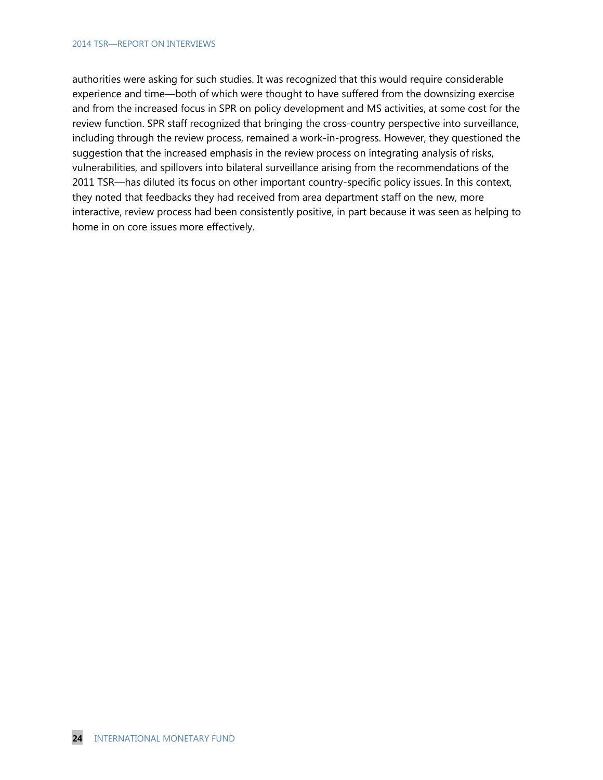authorities were asking for such studies. It was recognized that this would require considerable experience and time—both of which were thought to have suffered from the downsizing exercise and from the increased focus in SPR on policy development and MS activities, at some cost for the review function. SPR staff recognized that bringing the cross-country perspective into surveillance, including through the review process, remained a work-in-progress. However, they questioned the suggestion that the increased emphasis in the review process on integrating analysis of risks, vulnerabilities, and spillovers into bilateral surveillance arising from the recommendations of the 2011 TSR—has diluted its focus on other important country-specific policy issues. In this context, they noted that feedbacks they had received from area department staff on the new, more interactive, review process had been consistently positive, in part because it was seen as helping to home in on core issues more effectively.